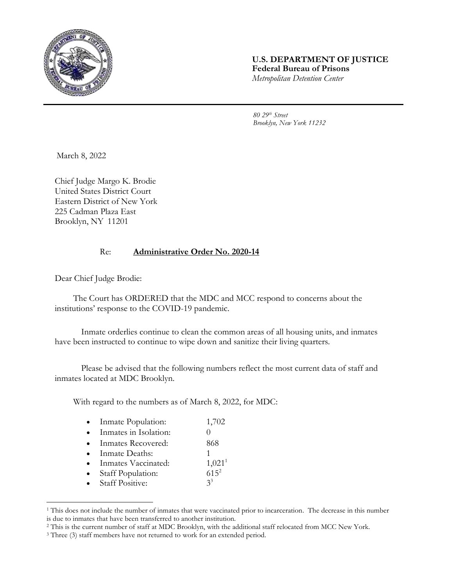

## **U.S. DEPARTMENT OF JUSTICE Federal Bureau of Prisons** *Metropolitan Detention Center*

*80 29th Street Brooklyn, New York 11232*

March 8, 2022

Chief Judge Margo K. Brodie United States District Court Eastern District of New York 225 Cadman Plaza East Brooklyn, NY 11201

## Re: **Administrative Order No. 2020-14**

Dear Chief Judge Brodie:

l

The Court has ORDERED that the MDC and MCC respond to concerns about the institutions' response to the COVID-19 pandemic.

Inmate orderlies continue to clean the common areas of all housing units, and inmates have been instructed to continue to wipe down and sanitize their living quarters.

Please be advised that the following numbers reflect the most current data of staff and inmates located at MDC Brooklyn.

With regard to the numbers as of March 8, 2022, for MDC:

| $\bullet$ | Inmate Population:          | 1,702              |
|-----------|-----------------------------|--------------------|
| $\bullet$ | Inmates in Isolation:       |                    |
| $\bullet$ | Inmates Recovered:          | 868                |
| $\bullet$ | Inmate Deaths:              |                    |
| $\bullet$ | Inmates Vaccinated:         | 1,021 <sup>1</sup> |
|           | $\bullet$ Staff Population: | $61.5^{2}$         |

staft ropulation. Staff Positive:

 $3^3$ 

<sup>1</sup> This does not include the number of inmates that were vaccinated prior to incarceration. The decrease in this number is due to inmates that have been transferred to another institution.

<sup>2</sup> This is the current number of staff at MDC Brooklyn, with the additional staff relocated from MCC New York.

<sup>&</sup>lt;sup>3</sup> Three (3) staff members have not returned to work for an extended period.